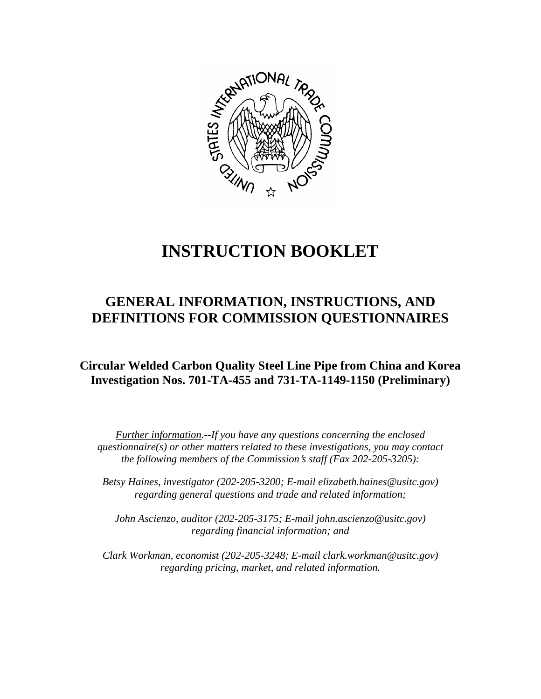

# **INSTRUCTION BOOKLET**

# **GENERAL INFORMATION, INSTRUCTIONS, AND DEFINITIONS FOR COMMISSION QUESTIONNAIRES**

**Circular Welded Carbon Quality Steel Line Pipe from China and Korea Investigation Nos. 701-TA-455 and 731-TA-1149-1150 (Preliminary)**

*Further information.--If you have any questions concerning the enclosed questionnaire(s) or other matters related to these investigations, you may contact the following members of the Commission's staff (Fax 202-205-3205):* 

 *Betsy Haines, investigator (202-205-3200; E-mail elizabeth.haines@usitc.gov) regarding general questions and trade and related information;* 

 *John Ascienzo, auditor (202-205-3175; E-mail john.ascienzo@usitc.gov) regarding financial information; and* 

 *Clark Workman, economist (202-205-3248; E-mail clark.workman@usitc.gov) regarding pricing, market, and related information.*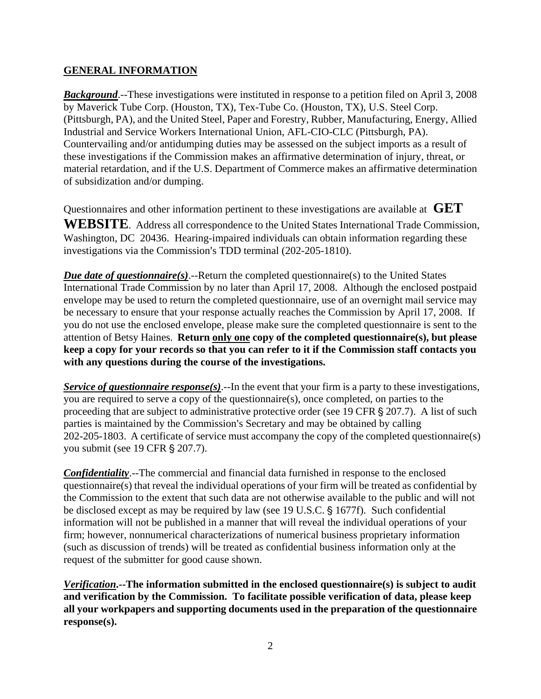#### **GENERAL INFORMATION**

*Background*.--These investigations were instituted in response to a petition filed on April 3, 2008 by Maverick Tube Corp. (Houston, TX), Tex-Tube Co. (Houston, TX), U.S. Steel Corp. (Pittsburgh, PA), and the United Steel, Paper and Forestry, Rubber, Manufacturing, Energy, Allied Industrial and Service Workers International Union, AFL-CIO-CLC (Pittsburgh, PA). Countervailing and/or antidumping duties may be assessed on the subject imports as a result of these investigations if the Commission makes an affirmative determination of injury, threat, or material retardation, and if the U.S. Department of Commerce makes an affirmative determination of subsidization and/or dumping.

Questionnaires and other information pertinent to these investigations are available at **GET** 

**WEBSITE**. Address all correspondence to the United States International Trade Commission, Washington, DC 20436. Hearing-impaired individuals can obtain information regarding these investigations via the Commission's TDD terminal (202-205-1810).

*Due date of questionnaire(s)*.--Return the completed questionnaire(s) to the United States International Trade Commission by no later than April 17, 2008. Although the enclosed postpaid envelope may be used to return the completed questionnaire, use of an overnight mail service may be necessary to ensure that your response actually reaches the Commission by April 17, 2008. If you do not use the enclosed envelope, please make sure the completed questionnaire is sent to the attention of Betsy Haines. **Return only one copy of the completed questionnaire(s), but please keep a copy for your records so that you can refer to it if the Commission staff contacts you with any questions during the course of the investigations.**

*Service of questionnaire response(s).*--In the event that your firm is a party to these investigations, you are required to serve a copy of the questionnaire(s), once completed, on parties to the proceeding that are subject to administrative protective order (see 19 CFR  $\S 207.7$ ). A list of such parties is maintained by the Commission's Secretary and may be obtained by calling 202-205-1803. A certificate of service must accompany the copy of the completed questionnaire(s) you submit (see 19 CFR § 207.7).

*Confidentiality*.--The commercial and financial data furnished in response to the enclosed questionnaire(s) that reveal the individual operations of your firm will be treated as confidential by the Commission to the extent that such data are not otherwise available to the public and will not be disclosed except as may be required by law (see 19 U.S.C.  $\S$  1677f). Such confidential information will not be published in a manner that will reveal the individual operations of your firm; however, nonnumerical characterizations of numerical business proprietary information (such as discussion of trends) will be treated as confidential business information only at the request of the submitter for good cause shown.

*Verification***.--The information submitted in the enclosed questionnaire(s) is subject to audit and verification by the Commission. To facilitate possible verification of data, please keep all your workpapers and supporting documents used in the preparation of the questionnaire response(s).**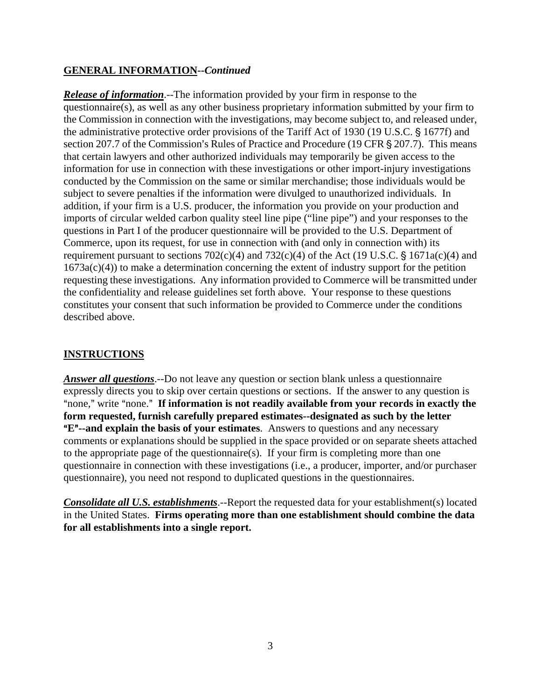#### **GENERAL INFORMATION--***Continued*

*Release of information*.--The information provided by your firm in response to the questionnaire(s), as well as any other business proprietary information submitted by your firm to the Commission in connection with the investigations, may become subject to, and released under, the administrative protective order provisions of the Tariff Act of 1930 (19 U.S.C. § 1677f) and section 207.7 of the Commission's Rules of Practice and Procedure (19 CFR  $\S$  207.7). This means that certain lawyers and other authorized individuals may temporarily be given access to the information for use in connection with these investigations or other import-injury investigations conducted by the Commission on the same or similar merchandise; those individuals would be subject to severe penalties if the information were divulged to unauthorized individuals. In addition, if your firm is a U.S. producer, the information you provide on your production and imports of circular welded carbon quality steel line pipe ("line pipe") and your responses to the questions in Part I of the producer questionnaire will be provided to the U.S. Department of Commerce, upon its request, for use in connection with (and only in connection with) its requirement pursuant to sections  $702(c)(4)$  and  $732(c)(4)$  of the Act (19 U.S.C. § 1671a(c)(4) and 1673a(c)(4)) to make a determination concerning the extent of industry support for the petition requesting these investigations. Any information provided to Commerce will be transmitted under the confidentiality and release guidelines set forth above. Your response to these questions constitutes your consent that such information be provided to Commerce under the conditions described above.

## **INSTRUCTIONS**

*Answer all questions*.--Do not leave any question or section blank unless a questionnaire expressly directs you to skip over certain questions or sections. If the answer to any question is "none," write "none." If information is not readily available from your records in exactly the **form requested, furnish carefully prepared estimates--designated as such by the letter E<sup>"</sup>--and explain the basis of your estimates**. Answers to questions and any necessary comments or explanations should be supplied in the space provided or on separate sheets attached to the appropriate page of the questionnaire(s). If your firm is completing more than one questionnaire in connection with these investigations (i.e., a producer, importer, and/or purchaser questionnaire), you need not respond to duplicated questions in the questionnaires.

*Consolidate all U.S. establishments*.--Report the requested data for your establishment(s) located in the United States. **Firms operating more than one establishment should combine the data for all establishments into a single report.**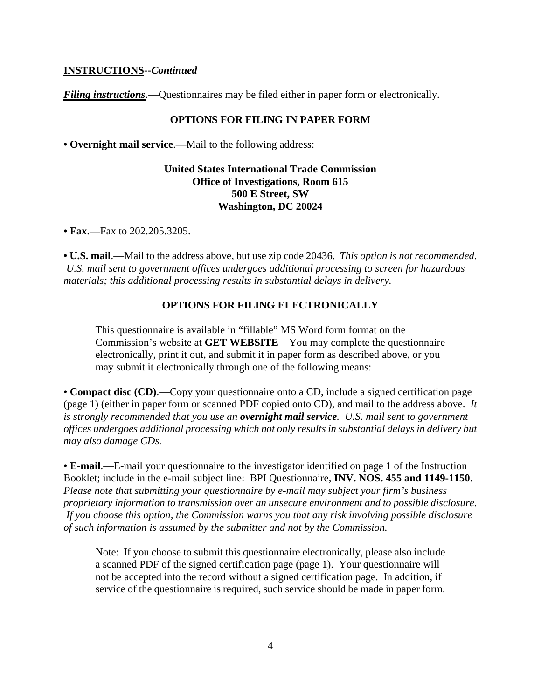#### **INSTRUCTIONS--***Continued*

*Filing instructions*.—Questionnaires may be filed either in paper form or electronically.

#### **OPTIONS FOR FILING IN PAPER FORM**

**• Overnight mail service**.—Mail to the following address:

#### **United States International Trade Commission Office of Investigations, Room 615 500 E Street, SW Washington, DC 20024**

**• Fax**.—Fax to 202.205.3205.

**• U.S. mail**.—Mail to the address above, but use zip code 20436. *This option is not recommended. U.S. mail sent to government offices undergoes additional processing to screen for hazardous materials; this additional processing results in substantial delays in delivery.* 

#### **OPTIONS FOR FILING ELECTRONICALLY**

This questionnaire is available in "fillable" MS Word form format on the Commission's website at **GET WEBSITE** You may complete the questionnaire electronically, print it out, and submit it in paper form as described above, or you may submit it electronically through one of the following means:

**• Compact disc (CD)**.—Copy your questionnaire onto a CD, include a signed certification page (page 1) (either in paper form or scanned PDF copied onto CD), and mail to the address above. *It is strongly recommended that you use an overnight mail service. U.S. mail sent to government offices undergoes additional processing which not only results in substantial delays in delivery but may also damage CDs.* 

**• E-mail**.—E-mail your questionnaire to the investigator identified on page 1 of the Instruction Booklet; include in the e-mail subject line: BPI Questionnaire, **INV. NOS. 455 and 1149-1150**. *Please note that submitting your questionnaire by e-mail may subject your firm's business proprietary information to transmission over an unsecure environment and to possible disclosure. If you choose this option, the Commission warns you that any risk involving possible disclosure of such information is assumed by the submitter and not by the Commission.* 

Note: If you choose to submit this questionnaire electronically, please also include a scanned PDF of the signed certification page (page 1). Your questionnaire will not be accepted into the record without a signed certification page. In addition, if service of the questionnaire is required, such service should be made in paper form.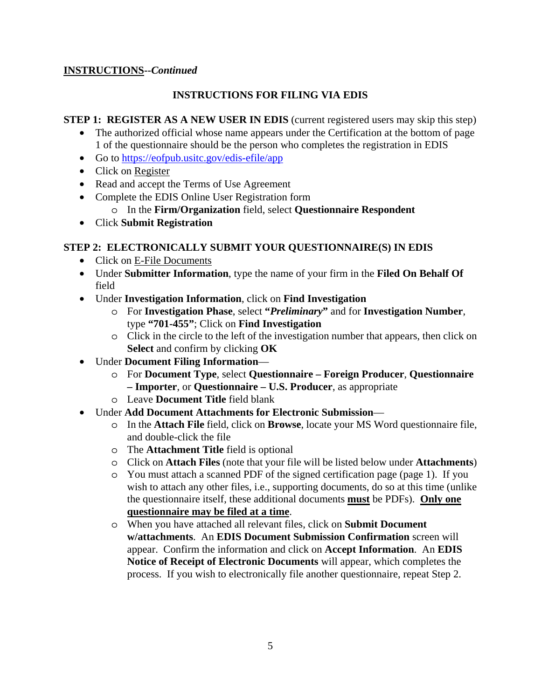### **INSTRUCTIONS--***Continued*

# **INSTRUCTIONS FOR FILING VIA EDIS**

#### **STEP 1: REGISTER AS A NEW USER IN EDIS** (current registered users may skip this step)

- The authorized official whose name appears under the Certification at the bottom of page 1 of the questionnaire should be the person who completes the registration in EDIS
- Go to https://eofpub.usitc.gov/edis-efile/app
- Click on Register
- Read and accept the Terms of Use Agreement
- Complete the EDIS Online User Registration form
	- o In the **Firm/Organization** field, select **Questionnaire Respondent**
- Click **Submit Registration**

# **STEP 2: ELECTRONICALLY SUBMIT YOUR QUESTIONNAIRE(S) IN EDIS**

- Click on E-File Documents
- Under **Submitter Information**, type the name of your firm in the **Filed On Behalf Of** field
- Under **Investigation Information**, click on **Find Investigation**
	- o For **Investigation Phase**, select **"***Preliminary***"** and for **Investigation Number**, type **"701-455"**; Click on **Find Investigation**
	- o Click in the circle to the left of the investigation number that appears, then click on **Select** and confirm by clicking **OK**
- Under **Document Filing Information**
	- o For **Document Type**, select **Questionnaire Foreign Producer**, **Questionnaire – Importer**, or **Questionnaire – U.S. Producer**, as appropriate
	- o Leave **Document Title** field blank
- Under **Add Document Attachments for Electronic Submission**
	- o In the **Attach File** field, click on **Browse**, locate your MS Word questionnaire file, and double-click the file
	- o The **Attachment Title** field is optional
	- o Click on **Attach Files** (note that your file will be listed below under **Attachments**)
	- o You must attach a scanned PDF of the signed certification page (page 1). If you wish to attach any other files, i.e., supporting documents, do so at this time (unlike the questionnaire itself, these additional documents **must** be PDFs). **Only one questionnaire may be filed at a time**.
	- o When you have attached all relevant files, click on **Submit Document w/attachments**. An **EDIS Document Submission Confirmation** screen will appear. Confirm the information and click on **Accept Information**. An **EDIS Notice of Receipt of Electronic Documents** will appear, which completes the process. If you wish to electronically file another questionnaire, repeat Step 2.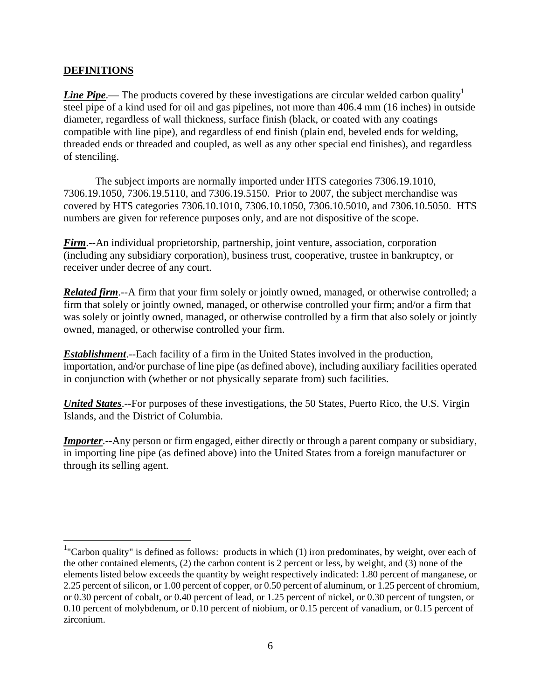#### **DEFINITIONS**

<u>.</u>

*Line Pipe*.— The products covered by these investigations are circular welded carbon quality<sup>1</sup> steel pipe of a kind used for oil and gas pipelines, not more than 406.4 mm (16 inches) in outside diameter, regardless of wall thickness, surface finish (black, or coated with any coatings compatible with line pipe), and regardless of end finish (plain end, beveled ends for welding, threaded ends or threaded and coupled, as well as any other special end finishes), and regardless of stenciling.

 The subject imports are normally imported under HTS categories 7306.19.1010, 7306.19.1050, 7306.19.5110, and 7306.19.5150. Prior to 2007, the subject merchandise was covered by HTS categories 7306.10.1010, 7306.10.1050, 7306.10.5010, and 7306.10.5050. HTS numbers are given for reference purposes only, and are not dispositive of the scope.

*Firm*.--An individual proprietorship, partnership, joint venture, association, corporation (including any subsidiary corporation), business trust, cooperative, trustee in bankruptcy, or receiver under decree of any court.

*Related firm.*--A firm that your firm solely or jointly owned, managed, or otherwise controlled; a firm that solely or jointly owned, managed, or otherwise controlled your firm; and/or a firm that was solely or jointly owned, managed, or otherwise controlled by a firm that also solely or jointly owned, managed, or otherwise controlled your firm.

*Establishment*.--Each facility of a firm in the United States involved in the production, importation, and/or purchase of line pipe (as defined above), including auxiliary facilities operated in conjunction with (whether or not physically separate from) such facilities.

*United States*.--For purposes of these investigations, the 50 States, Puerto Rico, the U.S. Virgin Islands, and the District of Columbia.

*Importer*.--Any person or firm engaged, either directly or through a parent company or subsidiary, in importing line pipe (as defined above) into the United States from a foreign manufacturer or through its selling agent.

 $1$ "Carbon quality" is defined as follows: products in which (1) iron predominates, by weight, over each of the other contained elements, (2) the carbon content is 2 percent or less, by weight, and (3) none of the elements listed below exceeds the quantity by weight respectively indicated: 1.80 percent of manganese, or 2.25 percent of silicon, or 1.00 percent of copper, or 0.50 percent of aluminum, or 1.25 percent of chromium, or 0.30 percent of cobalt, or 0.40 percent of lead, or 1.25 percent of nickel, or 0.30 percent of tungsten, or 0.10 percent of molybdenum, or 0.10 percent of niobium, or 0.15 percent of vanadium, or 0.15 percent of zirconium.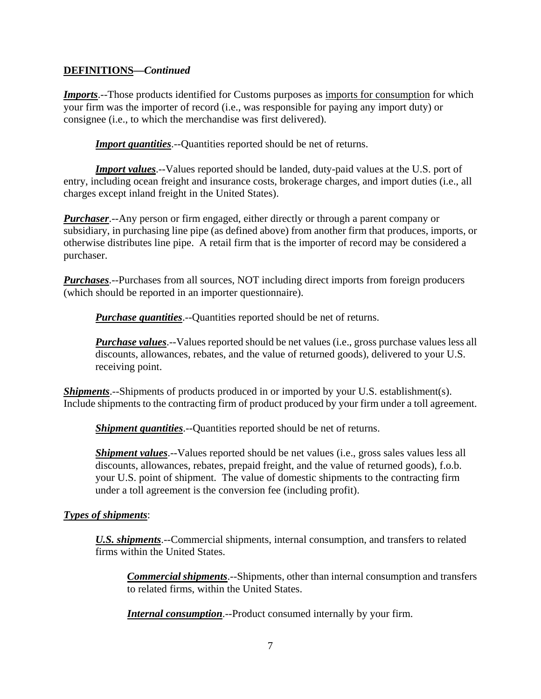#### **DEFINITIONS—***Continued*

*Imports*.--Those products identified for Customs purposes as imports for consumption for which your firm was the importer of record (i.e., was responsible for paying any import duty) or consignee (i.e., to which the merchandise was first delivered).

**Import quantities**.--Quantities reported should be net of returns.

*Import values*.--Values reported should be landed, duty-paid values at the U.S. port of entry, including ocean freight and insurance costs, brokerage charges, and import duties (i.e., all charges except inland freight in the United States).

*Purchaser*.--Any person or firm engaged, either directly or through a parent company or subsidiary, in purchasing line pipe (as defined above) from another firm that produces, imports, or otherwise distributes line pipe. A retail firm that is the importer of record may be considered a purchaser.

*Purchases*.--Purchases from all sources, NOT including direct imports from foreign producers (which should be reported in an importer questionnaire).

*Purchase quantities*.--Quantities reported should be net of returns.

*Purchase values*.--Values reported should be net values (i.e., gross purchase values less all discounts, allowances, rebates, and the value of returned goods), delivered to your U.S. receiving point.

*Shipments*.--Shipments of products produced in or imported by your U.S. establishment(s). Include shipments to the contracting firm of product produced by your firm under a toll agreement.

*Shipment quantities*.--Quantities reported should be net of returns.

*Shipment values*.--Values reported should be net values (*i.e.*, gross sales values less all discounts, allowances, rebates, prepaid freight, and the value of returned goods), f.o.b. your U.S. point of shipment. The value of domestic shipments to the contracting firm under a toll agreement is the conversion fee (including profit).

#### *Types of shipments*:

*U.S. shipments*.--Commercial shipments, internal consumption, and transfers to related firms within the United States.

*Commercial shipments*.--Shipments, other than internal consumption and transfers to related firms, within the United States.

*Internal consumption*.--Product consumed internally by your firm.